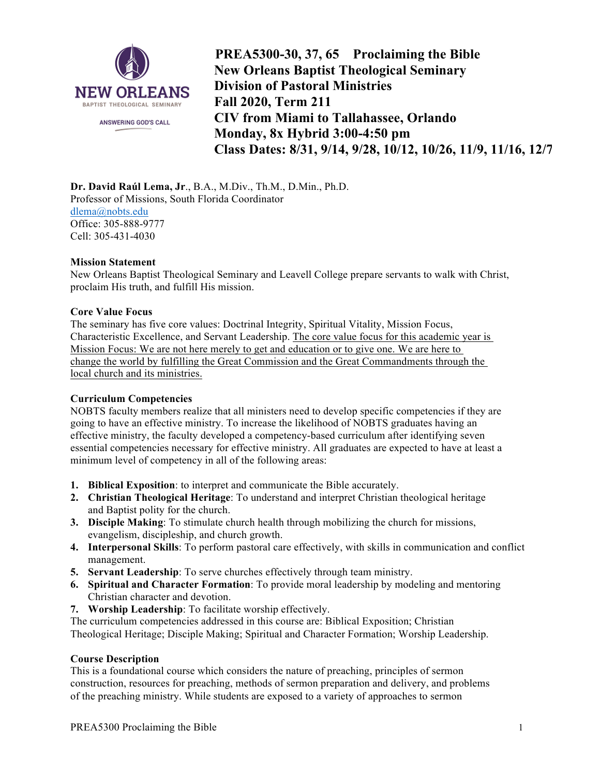

**PREA5300-30, 37, 65 Proclaiming the Bible New Orleans Baptist Theological Seminary Division of Pastoral Ministries Fall 2020, Term 211 CIV from Miami to Tallahassee, Orlando Monday, 8x Hybrid 3:00-4:50 pm Class Dates: 8/31, 9/14, 9/28, 10/12, 10/26, 11/9, 11/16, 12/7**

**Dr. David Raúl Lema, Jr**., B.A., M.Div., Th.M., D.Min., Ph.D. Professor of Missions, South Florida Coordinator dlema@nobts.edu Office: 305-888-9777 Cell: 305-431-4030

## **Mission Statement**

New Orleans Baptist Theological Seminary and Leavell College prepare servants to walk with Christ, proclaim His truth, and fulfill His mission.

### **Core Value Focus**

The seminary has five core values: Doctrinal Integrity, Spiritual Vitality, Mission Focus, Characteristic Excellence, and Servant Leadership. The core value focus for this academic year is Mission Focus: We are not here merely to get and education or to give one. We are here to change the world by fulfilling the Great Commission and the Great Commandments through the local church and its ministries.

## **Curriculum Competencies**

NOBTS faculty members realize that all ministers need to develop specific competencies if they are going to have an effective ministry. To increase the likelihood of NOBTS graduates having an effective ministry, the faculty developed a competency-based curriculum after identifying seven essential competencies necessary for effective ministry. All graduates are expected to have at least a minimum level of competency in all of the following areas:

- **1. Biblical Exposition**: to interpret and communicate the Bible accurately.
- **2. Christian Theological Heritage**: To understand and interpret Christian theological heritage and Baptist polity for the church.
- **3. Disciple Making**: To stimulate church health through mobilizing the church for missions, evangelism, discipleship, and church growth.
- **4. Interpersonal Skills**: To perform pastoral care effectively, with skills in communication and conflict management.
- **5. Servant Leadership**: To serve churches effectively through team ministry.
- **6. Spiritual and Character Formation**: To provide moral leadership by modeling and mentoring Christian character and devotion.
- **7. Worship Leadership**: To facilitate worship effectively.

The curriculum competencies addressed in this course are: Biblical Exposition; Christian Theological Heritage; Disciple Making; Spiritual and Character Formation; Worship Leadership.

### **Course Description**

This is a foundational course which considers the nature of preaching, principles of sermon construction, resources for preaching, methods of sermon preparation and delivery, and problems of the preaching ministry. While students are exposed to a variety of approaches to sermon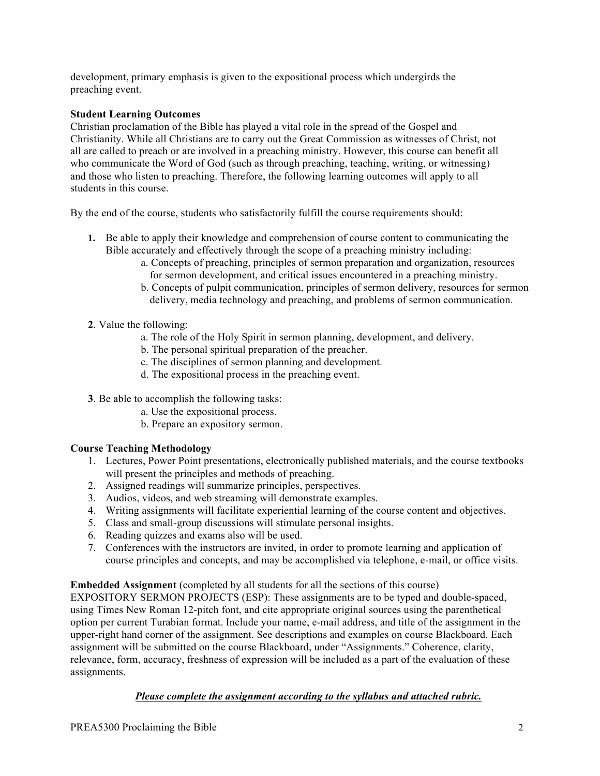development, primary emphasis is given to the expositional process which undergirds the preaching event.

## **Student Learning Outcomes**

Christian proclamation of the Bible has played a vital role in the spread of the Gospel and Christianity. While all Christians are to carry out the Great Commission as witnesses of Christ, not all are called to preach or are involved in a preaching ministry. However, this course can benefit all who communicate the Word of God (such as through preaching, teaching, writing, or witnessing) and those who listen to preaching. Therefore, the following learning outcomes will apply to all students in this course.

By the end of the course, students who satisfactorily fulfill the course requirements should:

- **1.** Be able to apply their knowledge and comprehension of course content to communicating the Bible accurately and effectively through the scope of a preaching ministry including:
	- a. Concepts of preaching, principles of sermon preparation and organization, resources for sermon development, and critical issues encountered in a preaching ministry.
	- b. Concepts of pulpit communication, principles of sermon delivery, resources for sermon delivery, media technology and preaching, and problems of sermon communication.
- **2**. Value the following:
	- a. The role of the Holy Spirit in sermon planning, development, and delivery.
	- b. The personal spiritual preparation of the preacher.
	- c. The disciplines of sermon planning and development.
	- d. The expositional process in the preaching event.
- **3**. Be able to accomplish the following tasks:
	- a. Use the expositional process.
	- b. Prepare an expository sermon.

# **Course Teaching Methodology**

- 1. Lectures, Power Point presentations, electronically published materials, and the course textbooks will present the principles and methods of preaching.
- 2. Assigned readings will summarize principles, perspectives.
- 3. Audios, videos, and web streaming will demonstrate examples.
- 4. Writing assignments will facilitate experiential learning of the course content and objectives.
- 5. Class and small-group discussions will stimulate personal insights.
- 6. Reading quizzes and exams also will be used.
- 7. Conferences with the instructors are invited, in order to promote learning and application of course principles and concepts, and may be accomplished via telephone, e-mail, or office visits.

## **Embedded Assignment** (completed by all students for all the sections of this course)

EXPOSITORY SERMON PROJECTS (ESP): These assignments are to be typed and double-spaced, using Times New Roman 12-pitch font, and cite appropriate original sources using the parenthetical option per current Turabian format. Include your name, e-mail address, and title of the assignment in the upper-right hand corner of the assignment. See descriptions and examples on course Blackboard. Each assignment will be submitted on the course Blackboard, under "Assignments." Coherence, clarity, relevance, form, accuracy, freshness of expression will be included as a part of the evaluation of these assignments.

# *Please complete the assignment according to the syllabus and attached rubric.*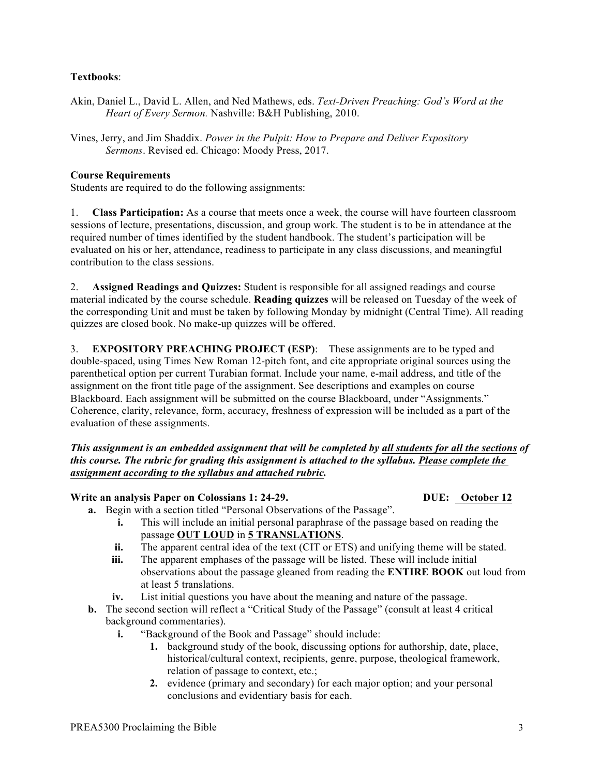## **Textbooks**:

- Akin, Daniel L., David L. Allen, and Ned Mathews, eds. *Text-Driven Preaching: God's Word at the Heart of Every Sermon.* Nashville: B&H Publishing, 2010.
- Vines, Jerry, and Jim Shaddix. *Power in the Pulpit: How to Prepare and Deliver Expository Sermons*. Revised ed. Chicago: Moody Press, 2017.

## **Course Requirements**

Students are required to do the following assignments:

1. **Class Participation:** As a course that meets once a week, the course will have fourteen classroom sessions of lecture, presentations, discussion, and group work. The student is to be in attendance at the required number of times identified by the student handbook. The student's participation will be evaluated on his or her, attendance, readiness to participate in any class discussions, and meaningful contribution to the class sessions.

2. **Assigned Readings and Quizzes:** Student is responsible for all assigned readings and course material indicated by the course schedule. **Reading quizzes** will be released on Tuesday of the week of the corresponding Unit and must be taken by following Monday by midnight (Central Time). All reading quizzes are closed book. No make-up quizzes will be offered.

3. **EXPOSITORY PREACHING PROJECT (ESP)**: These assignments are to be typed and double-spaced, using Times New Roman 12-pitch font, and cite appropriate original sources using the parenthetical option per current Turabian format. Include your name, e-mail address, and title of the assignment on the front title page of the assignment. See descriptions and examples on course Blackboard. Each assignment will be submitted on the course Blackboard, under "Assignments." Coherence, clarity, relevance, form, accuracy, freshness of expression will be included as a part of the evaluation of these assignments.

*This assignment is an embedded assignment that will be completed by all students for all the sections of this course. The rubric for grading this assignment is attached to the syllabus. Please complete the assignment according to the syllabus and attached rubric.*

## **Write an analysis Paper on Colossians 1: 24-29. DUE: October 12**

- **a.** Begin with a section titled "Personal Observations of the Passage".
	- **i.** This will include an initial personal paraphrase of the passage based on reading the passage **OUT LOUD** in **5 TRANSLATIONS**.
	- **ii.** The apparent central idea of the text (CIT or ETS) and unifying theme will be stated.
	- **iii.** The apparent emphases of the passage will be listed. These will include initial observations about the passage gleaned from reading the **ENTIRE BOOK** out loud from at least 5 translations.
	- **iv.** List initial questions you have about the meaning and nature of the passage.
- **b.** The second section will reflect a "Critical Study of the Passage" (consult at least 4 critical background commentaries).
	- **i.** "Background of the Book and Passage" should include:
		- **1.** background study of the book, discussing options for authorship, date, place, historical/cultural context, recipients, genre, purpose, theological framework, relation of passage to context, etc.;
		- **2.** evidence (primary and secondary) for each major option; and your personal conclusions and evidentiary basis for each.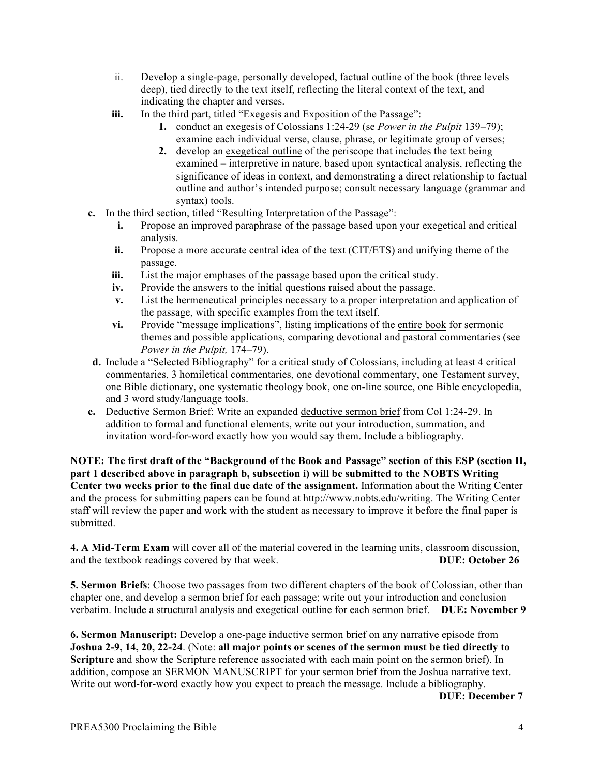- ii. Develop a single-page, personally developed, factual outline of the book (three levels deep), tied directly to the text itself, reflecting the literal context of the text, and indicating the chapter and verses.
- **iii.** In the third part, titled "Exegesis and Exposition of the Passage":
	- **1.** conduct an exegesis of Colossians 1:24-29 (se *Power in the Pulpit* 139–79); examine each individual verse, clause, phrase, or legitimate group of verses;
	- **2.** develop an exegetical outline of the periscope that includes the text being examined – interpretive in nature, based upon syntactical analysis, reflecting the significance of ideas in context, and demonstrating a direct relationship to factual outline and author's intended purpose; consult necessary language (grammar and syntax) tools.
- **c.** In the third section, titled "Resulting Interpretation of the Passage":
	- **i.** Propose an improved paraphrase of the passage based upon your exegetical and critical analysis.
	- **ii.** Propose a more accurate central idea of the text (CIT/ETS) and unifying theme of the passage.
	- **iii.** List the major emphases of the passage based upon the critical study.
	- **iv.** Provide the answers to the initial questions raised about the passage.
	- **v.** List the hermeneutical principles necessary to a proper interpretation and application of the passage, with specific examples from the text itself.
	- **vi.** Provide "message implications", listing implications of the entire book for sermonic themes and possible applications, comparing devotional and pastoral commentaries (see *Power in the Pulpit,* 174–79).
- **d.** Include a "Selected Bibliography" for a critical study of Colossians, including at least 4 critical commentaries, 3 homiletical commentaries, one devotional commentary, one Testament survey, one Bible dictionary, one systematic theology book, one on-line source, one Bible encyclopedia, and 3 word study/language tools.
- **e.** Deductive Sermon Brief: Write an expanded deductive sermon brief from Col 1:24-29. In addition to formal and functional elements, write out your introduction, summation, and invitation word-for-word exactly how you would say them. Include a bibliography.

**NOTE: The first draft of the "Background of the Book and Passage" section of this ESP (section II, part 1 described above in paragraph b, subsection i) will be submitted to the NOBTS Writing Center two weeks prior to the final due date of the assignment.** Information about the Writing Center and the process for submitting papers can be found at http://www.nobts.edu/writing. The Writing Center staff will review the paper and work with the student as necessary to improve it before the final paper is submitted.

**4. A Mid-Term Exam** will cover all of the material covered in the learning units, classroom discussion, and the textbook readings covered by that week. **DUE: October 26**

**5. Sermon Briefs**: Choose two passages from two different chapters of the book of Colossian, other than chapter one, and develop a sermon brief for each passage; write out your introduction and conclusion verbatim. Include a structural analysis and exegetical outline for each sermon brief. **DUE: November 9**

**6. Sermon Manuscript:** Develop a one-page inductive sermon brief on any narrative episode from **Joshua 2-9, 14, 20, 22-24**. (Note: **all major points or scenes of the sermon must be tied directly to Scripture** and show the Scripture reference associated with each main point on the sermon brief). In addition, compose an SERMON MANUSCRIPT for your sermon brief from the Joshua narrative text. Write out word-for-word exactly how you expect to preach the message. Include a bibliography.

**DUE: December 7**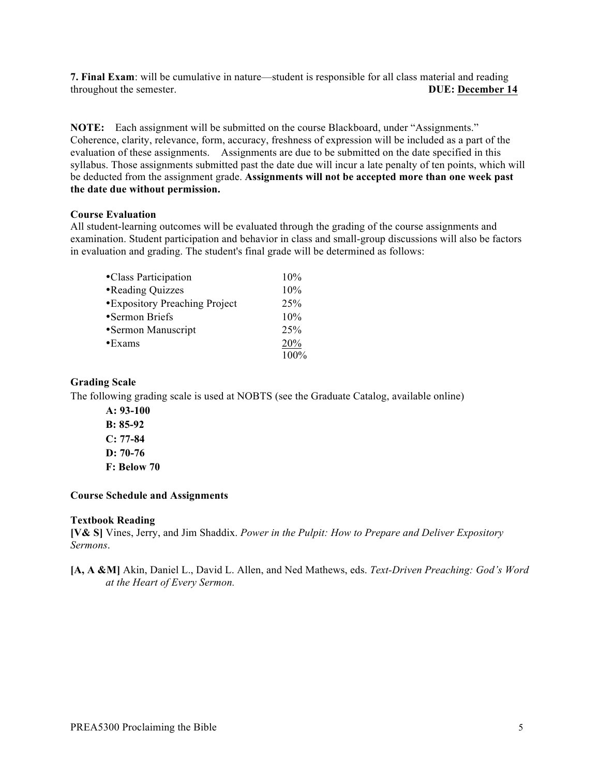**7. Final Exam**: will be cumulative in nature—student is responsible for all class material and reading throughout the semester. **DUE: December 14**

**NOTE:** Each assignment will be submitted on the course Blackboard, under "Assignments." Coherence, clarity, relevance, form, accuracy, freshness of expression will be included as a part of the evaluation of these assignments. Assignments are due to be submitted on the date specified in this syllabus. Those assignments submitted past the date due will incur a late penalty of ten points, which will be deducted from the assignment grade. **Assignments will not be accepted more than one week past the date due without permission.**

### **Course Evaluation**

All student-learning outcomes will be evaluated through the grading of the course assignments and examination. Student participation and behavior in class and small-group discussions will also be factors in evaluation and grading. The student's final grade will be determined as follows:

| •Class Participation           | 10%  |
|--------------------------------|------|
| •Reading Quizzes               | 10%  |
| • Expository Preaching Project | 25%  |
| •Sermon Briefs                 | 10%  |
| •Sermon Manuscript             | 25%  |
| $\cdot$ Exams                  | 20%  |
|                                | 100% |

## **Grading Scale**

The following grading scale is used at NOBTS (see the Graduate Catalog, available online)

**A: 93-100 B: 85-92 C: 77-84 D: 70-76 F: Below 70**

## **Course Schedule and Assignments**

## **Textbook Reading**

**[V& S]** Vines, Jerry, and Jim Shaddix. *Power in the Pulpit: How to Prepare and Deliver Expository Sermons*.

## **[A, A &M]** Akin, Daniel L., David L. Allen, and Ned Mathews, eds. *Text-Driven Preaching: God's Word at the Heart of Every Sermon.*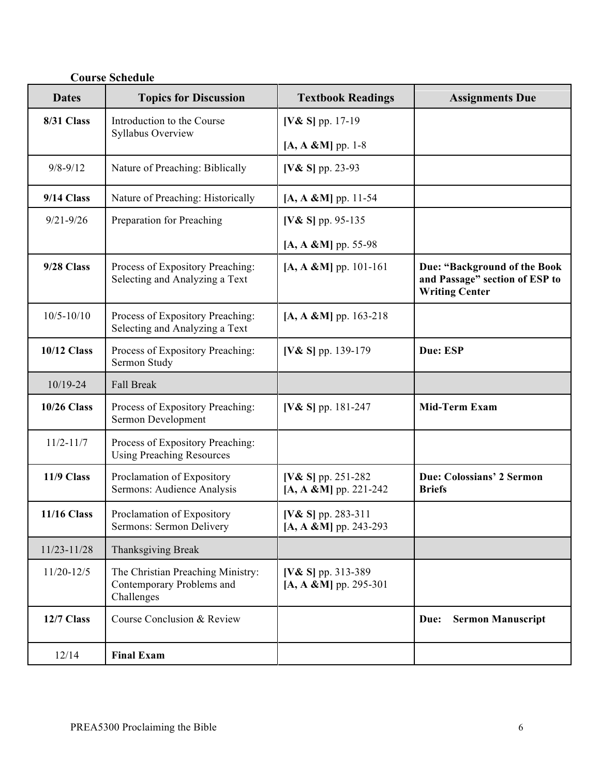| <b>Dates</b>       | <b>Topics for Discussion</b>                                                 | <b>Textbook Readings</b>                            | <b>Assignments Due</b>                                                                  |
|--------------------|------------------------------------------------------------------------------|-----------------------------------------------------|-----------------------------------------------------------------------------------------|
| 8/31 Class         | Introduction to the Course<br>Syllabus Overview                              | [V& S] pp. 17-19                                    |                                                                                         |
|                    |                                                                              | $[A, A & M]$ pp. 1-8                                |                                                                                         |
| $9/8 - 9/12$       | Nature of Preaching: Biblically                                              | [V& S] pp. 23-93                                    |                                                                                         |
| 9/14 Class         | Nature of Preaching: Historically                                            | $[A, A \& M]$ pp. 11-54                             |                                                                                         |
| $9/21 - 9/26$      | Preparation for Preaching                                                    | [ $V & S$ ] pp. 95-135                              |                                                                                         |
|                    |                                                                              | $[A, A & M]$ pp. 55-98                              |                                                                                         |
| 9/28 Class         | Process of Expository Preaching:<br>Selecting and Analyzing a Text           | $[A, A & M]$ pp. 101-161                            | Due: "Background of the Book<br>and Passage" section of ESP to<br><b>Writing Center</b> |
| $10/5 - 10/10$     | Process of Expository Preaching:<br>Selecting and Analyzing a Text           | $[A, A & M]$ pp. 163-218                            |                                                                                         |
| <b>10/12 Class</b> | Process of Expository Preaching:<br>Sermon Study                             | [V& S] pp. 139-179                                  | Due: ESP                                                                                |
| $10/19 - 24$       | <b>Fall Break</b>                                                            |                                                     |                                                                                         |
| <b>10/26 Class</b> | Process of Expository Preaching:<br>Sermon Development                       | [ $V & S$ ] pp. 181-247                             | <b>Mid-Term Exam</b>                                                                    |
| $11/2 - 11/7$      | Process of Expository Preaching:<br><b>Using Preaching Resources</b>         |                                                     |                                                                                         |
| 11/9 Class         | Proclamation of Expository<br>Sermons: Audience Analysis                     | [ $V & S$ ] pp. 251-282<br>$[A, A & M]$ pp. 221-242 | <b>Due: Colossians' 2 Sermon</b><br><b>Briefs</b>                                       |
| <b>11/16 Class</b> | Proclamation of Expository<br>Sermons: Sermon Delivery                       | [ $V & S$ ] pp. 283-311<br>$[A, A & M]$ pp. 243-293 |                                                                                         |
| $11/23 - 11/28$    | <b>Thanksgiving Break</b>                                                    |                                                     |                                                                                         |
| $11/20 - 12/5$     | The Christian Preaching Ministry:<br>Contemporary Problems and<br>Challenges | [V& S] pp. 313-389<br>$[A, A & M]$ pp. 295-301      |                                                                                         |
| 12/7 Class         | Course Conclusion & Review                                                   |                                                     | <b>Sermon Manuscript</b><br>Due:                                                        |
| 12/14              | <b>Final Exam</b>                                                            |                                                     |                                                                                         |

# **Course Schedule**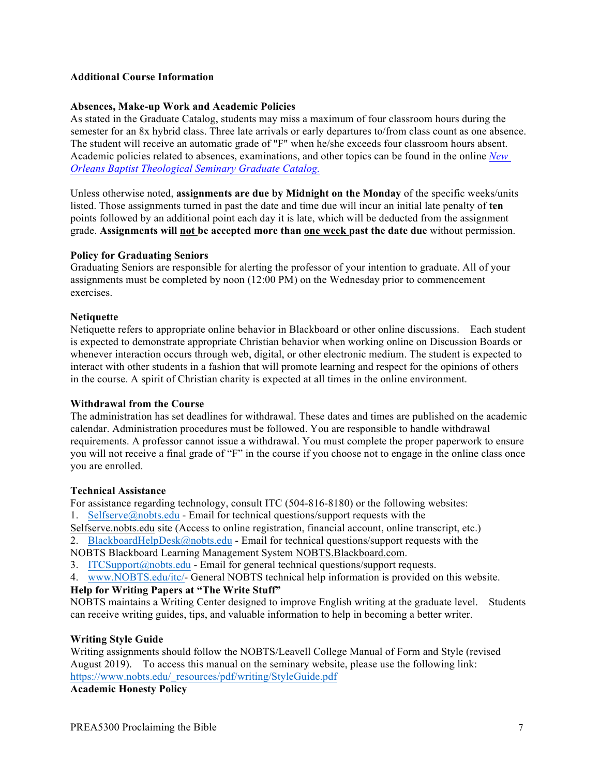### **Additional Course Information**

### **Absences, Make-up Work and Academic Policies**

As stated in the Graduate Catalog, students may miss a maximum of four classroom hours during the semester for an 8x hybrid class. Three late arrivals or early departures to/from class count as one absence. The student will receive an automatic grade of "F" when he/she exceeds four classroom hours absent. Academic policies related to absences, examinations, and other topics can be found in the online *New Orleans Baptist Theological Seminary Graduate Catalog.*

Unless otherwise noted, **assignments are due by Midnight on the Monday** of the specific weeks/units listed. Those assignments turned in past the date and time due will incur an initial late penalty of **ten**  points followed by an additional point each day it is late, which will be deducted from the assignment grade. **Assignments will not be accepted more than one week past the date due** without permission.

### **Policy for Graduating Seniors**

Graduating Seniors are responsible for alerting the professor of your intention to graduate. All of your assignments must be completed by noon (12:00 PM) on the Wednesday prior to commencement exercises.

### **Netiquette**

Netiquette refers to appropriate online behavior in Blackboard or other online discussions. Each student is expected to demonstrate appropriate Christian behavior when working online on Discussion Boards or whenever interaction occurs through web, digital, or other electronic medium. The student is expected to interact with other students in a fashion that will promote learning and respect for the opinions of others in the course. A spirit of Christian charity is expected at all times in the online environment.

### **Withdrawal from the Course**

The administration has set deadlines for withdrawal. These dates and times are published on the academic calendar. Administration procedures must be followed. You are responsible to handle withdrawal requirements. A professor cannot issue a withdrawal. You must complete the proper paperwork to ensure you will not receive a final grade of "F" in the course if you choose not to engage in the online class once you are enrolled.

### **Technical Assistance**

For assistance regarding technology, consult ITC (504-816-8180) or the following websites: 1. Selfserve@nobts.edu - Email for technical questions/support requests with the

Selfserve.nobts.edu site (Access to online registration, financial account, online transcript, etc.)

2. BlackboardHelpDesk@nobts.edu - Email for technical questions/support requests with the

NOBTS Blackboard Learning Management System NOBTS.Blackboard.com.

3. ITCSupport@nobts.edu - Email for general technical questions/support requests.

4. www.NOBTS.edu/itc/- General NOBTS technical help information is provided on this website.

## **Help for Writing Papers at "The Write Stuff"**

NOBTS maintains a Writing Center designed to improve English writing at the graduate level. Students can receive writing guides, tips, and valuable information to help in becoming a better writer.

## **Writing Style Guide**

Writing assignments should follow the NOBTS/Leavell College Manual of Form and Style (revised August 2019). To access this manual on the seminary website, please use the following link: https://www.nobts.edu/\_resources/pdf/writing/StyleGuide.pdf

**Academic Honesty Policy**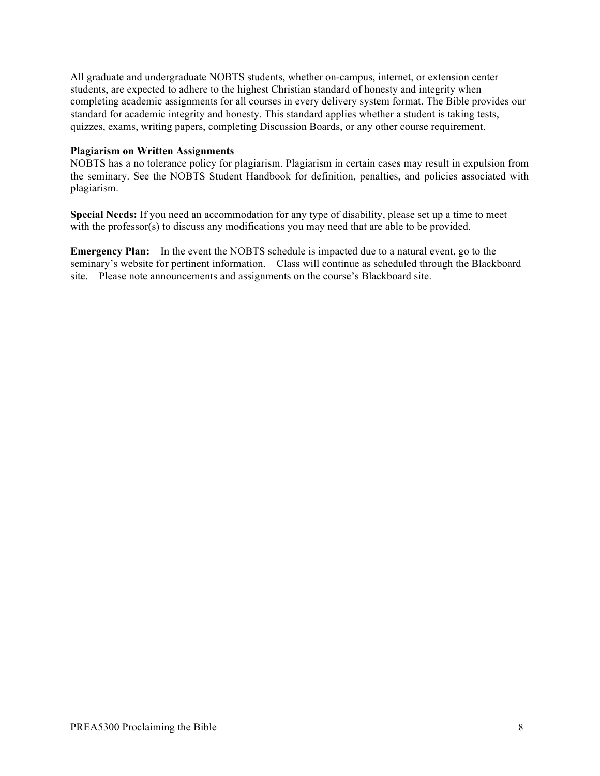All graduate and undergraduate NOBTS students, whether on-campus, internet, or extension center students, are expected to adhere to the highest Christian standard of honesty and integrity when completing academic assignments for all courses in every delivery system format. The Bible provides our standard for academic integrity and honesty. This standard applies whether a student is taking tests, quizzes, exams, writing papers, completing Discussion Boards, or any other course requirement.

### **Plagiarism on Written Assignments**

NOBTS has a no tolerance policy for plagiarism. Plagiarism in certain cases may result in expulsion from the seminary. See the NOBTS Student Handbook for definition, penalties, and policies associated with plagiarism.

**Special Needs:** If you need an accommodation for any type of disability, please set up a time to meet with the professor(s) to discuss any modifications you may need that are able to be provided.

**Emergency Plan:** In the event the NOBTS schedule is impacted due to a natural event, go to the seminary's website for pertinent information. Class will continue as scheduled through the Blackboard site. Please note announcements and assignments on the course's Blackboard site.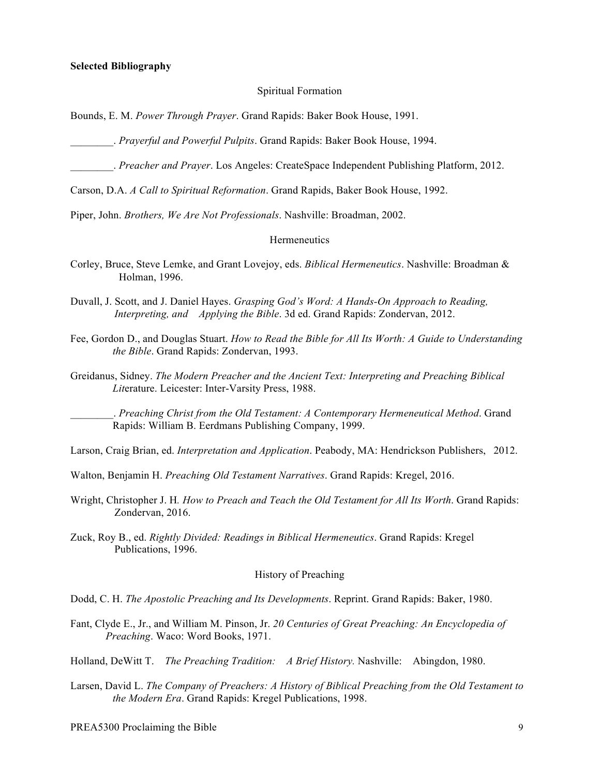#### **Selected Bibliography**

#### Spiritual Formation

Bounds, E. M. *Power Through Prayer*. Grand Rapids: Baker Book House, 1991.

\_\_\_\_\_\_\_\_. *Prayerful and Powerful Pulpits*. Grand Rapids: Baker Book House, 1994.

\_\_\_\_\_\_\_\_. *Preacher and Prayer*. Los Angeles: CreateSpace Independent Publishing Platform, 2012.

Carson, D.A. *A Call to Spiritual Reformation*. Grand Rapids, Baker Book House, 1992.

Piper, John. *Brothers, We Are Not Professionals*. Nashville: Broadman, 2002.

### **Hermeneutics**

- Corley, Bruce, Steve Lemke, and Grant Lovejoy, eds. *Biblical Hermeneutics*. Nashville: Broadman & Holman, 1996.
- Duvall, J. Scott, and J. Daniel Hayes. *Grasping God's Word: A Hands-On Approach to Reading, Interpreting, and Applying the Bible*. 3d ed. Grand Rapids: Zondervan, 2012.
- Fee, Gordon D., and Douglas Stuart. *How to Read the Bible for All Its Worth: A Guide to Understanding the Bible*. Grand Rapids: Zondervan, 1993.
- Greidanus, Sidney. *The Modern Preacher and the Ancient Text: Interpreting and Preaching Biblical Lit*erature. Leicester: Inter-Varsity Press, 1988.

\_\_\_\_\_\_\_\_. *Preaching Christ from the Old Testament: A Contemporary Hermeneutical Method*. Grand Rapids: William B. Eerdmans Publishing Company, 1999.

Larson, Craig Brian, ed. *Interpretation and Application*. Peabody, MA: Hendrickson Publishers, 2012.

Walton, Benjamin H. *Preaching Old Testament Narratives*. Grand Rapids: Kregel, 2016.

- Wright, Christopher J. H*. How to Preach and Teach the Old Testament for All Its Worth*. Grand Rapids: Zondervan, 2016.
- Zuck, Roy B., ed. *Rightly Divided: Readings in Biblical Hermeneutics*. Grand Rapids: Kregel Publications, 1996.

#### History of Preaching

Dodd, C. H. *The Apostolic Preaching and Its Developments*. Reprint. Grand Rapids: Baker, 1980.

Fant, Clyde E., Jr., and William M. Pinson, Jr. *20 Centuries of Great Preaching: An Encyclopedia of Preaching*. Waco: Word Books, 1971.

Holland, DeWitt T. *The Preaching Tradition: A Brief History.* Nashville: Abingdon, 1980.

Larsen, David L. *The Company of Preachers: A History of Biblical Preaching from the Old Testament to the Modern Era*. Grand Rapids: Kregel Publications, 1998.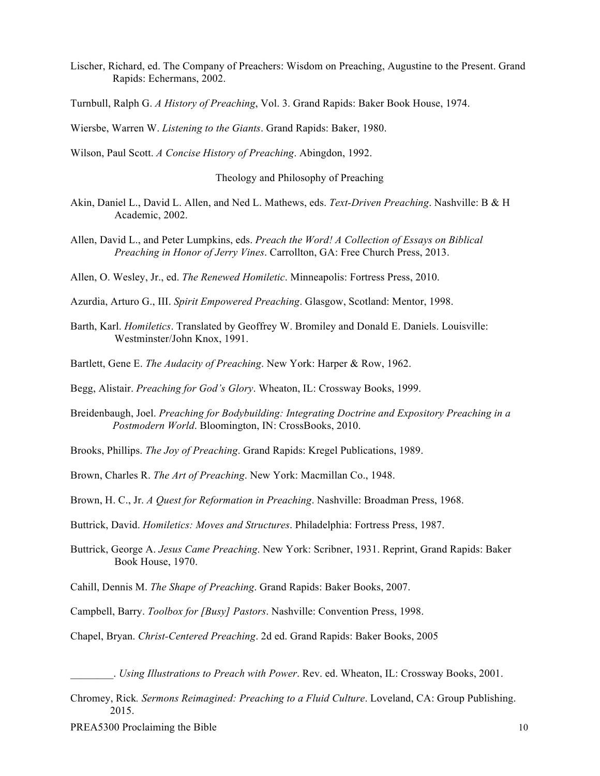Lischer, Richard, ed. The Company of Preachers: Wisdom on Preaching, Augustine to the Present. Grand Rapids: Echermans, 2002.

Turnbull, Ralph G. *A History of Preaching*, Vol. 3. Grand Rapids: Baker Book House, 1974.

Wiersbe, Warren W. *Listening to the Giants*. Grand Rapids: Baker, 1980.

Wilson, Paul Scott. *A Concise History of Preaching*. Abingdon, 1992.

Theology and Philosophy of Preaching

- Akin, Daniel L., David L. Allen, and Ned L. Mathews, eds. *Text-Driven Preaching*. Nashville: B & H Academic, 2002.
- Allen, David L., and Peter Lumpkins, eds. *Preach the Word! A Collection of Essays on Biblical Preaching in Honor of Jerry Vines*. Carrollton, GA: Free Church Press, 2013.

Allen, O. Wesley, Jr., ed. *The Renewed Homiletic*. Minneapolis: Fortress Press, 2010.

- Azurdia, Arturo G., III. *Spirit Empowered Preaching*. Glasgow, Scotland: Mentor, 1998.
- Barth, Karl. *Homiletics*. Translated by Geoffrey W. Bromiley and Donald E. Daniels. Louisville: Westminster/John Knox, 1991.
- Bartlett, Gene E. *The Audacity of Preaching*. New York: Harper & Row, 1962.
- Begg, Alistair. *Preaching for God's Glory*. Wheaton, IL: Crossway Books, 1999.
- Breidenbaugh, Joel. *Preaching for Bodybuilding: Integrating Doctrine and Expository Preaching in a Postmodern World*. Bloomington, IN: CrossBooks, 2010.
- Brooks, Phillips. *The Joy of Preaching*. Grand Rapids: Kregel Publications, 1989.
- Brown, Charles R. *The Art of Preaching*. New York: Macmillan Co., 1948.
- Brown, H. C., Jr. *A Quest for Reformation in Preaching*. Nashville: Broadman Press, 1968.
- Buttrick, David. *Homiletics: Moves and Structures*. Philadelphia: Fortress Press, 1987.
- Buttrick, George A. *Jesus Came Preaching*. New York: Scribner, 1931. Reprint, Grand Rapids: Baker Book House, 1970.
- Cahill, Dennis M. *The Shape of Preaching*. Grand Rapids: Baker Books, 2007.
- Campbell, Barry. *Toolbox for [Busy] Pastors*. Nashville: Convention Press, 1998.

Chapel, Bryan. *Christ-Centered Preaching*. 2d ed. Grand Rapids: Baker Books, 2005

\_\_\_\_\_\_\_\_. *Using Illustrations to Preach with Power*. Rev. ed. Wheaton, IL: Crossway Books, 2001.

Chromey, Rick*. Sermons Reimagined: Preaching to a Fluid Culture*. Loveland, CA: Group Publishing. 2015.

PREA5300 Proclaiming the Bible 10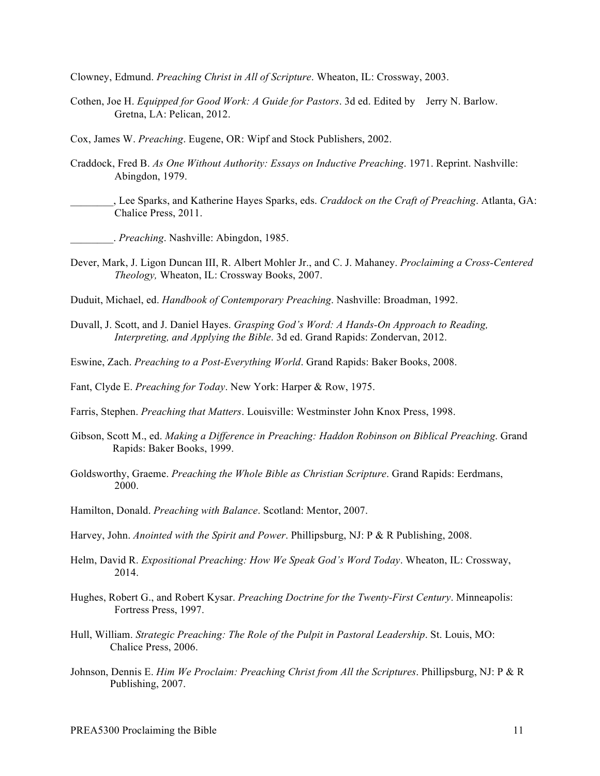Clowney, Edmund. *Preaching Christ in All of Scripture*. Wheaton, IL: Crossway, 2003.

- Cothen, Joe H. *Equipped for Good Work: A Guide for Pastors*. 3d ed. Edited by Jerry N. Barlow. Gretna, LA: Pelican, 2012.
- Cox, James W. *Preaching*. Eugene, OR: Wipf and Stock Publishers, 2002.
- Craddock, Fred B. *As One Without Authority: Essays on Inductive Preaching*. 1971. Reprint. Nashville: Abingdon, 1979.
- \_\_\_\_\_\_\_\_, Lee Sparks, and Katherine Hayes Sparks, eds. *Craddock on the Craft of Preaching*. Atlanta, GA: Chalice Press, 2011.
	- \_\_\_\_\_\_\_\_. *Preaching*. Nashville: Abingdon, 1985.
- Dever, Mark, J. Ligon Duncan III, R. Albert Mohler Jr., and C. J. Mahaney. *Proclaiming a Cross-Centered Theology,* Wheaton, IL: Crossway Books, 2007.
- Duduit, Michael, ed. *Handbook of Contemporary Preaching*. Nashville: Broadman, 1992.
- Duvall, J. Scott, and J. Daniel Hayes. *Grasping God's Word: A Hands-On Approach to Reading, Interpreting, and Applying the Bible*. 3d ed. Grand Rapids: Zondervan, 2012.
- Eswine, Zach. *Preaching to a Post-Everything World*. Grand Rapids: Baker Books, 2008.

Fant, Clyde E. *Preaching for Today*. New York: Harper & Row, 1975.

Farris, Stephen. *Preaching that Matters*. Louisville: Westminster John Knox Press, 1998.

- Gibson, Scott M., ed. *Making a Difference in Preaching: Haddon Robinson on Biblical Preaching*. Grand Rapids: Baker Books, 1999.
- Goldsworthy, Graeme. *Preaching the Whole Bible as Christian Scripture*. Grand Rapids: Eerdmans, 2000.
- Hamilton, Donald. *Preaching with Balance*. Scotland: Mentor, 2007.
- Harvey, John. *Anointed with the Spirit and Power*. Phillipsburg, NJ: P & R Publishing, 2008.
- Helm, David R. *Expositional Preaching: How We Speak God's Word Today*. Wheaton, IL: Crossway, 2014.
- Hughes, Robert G., and Robert Kysar. *Preaching Doctrine for the Twenty-First Century*. Minneapolis: Fortress Press, 1997.
- Hull, William. *Strategic Preaching: The Role of the Pulpit in Pastoral Leadership*. St. Louis, MO: Chalice Press, 2006.
- Johnson, Dennis E. *Him We Proclaim: Preaching Christ from All the Scriptures*. Phillipsburg, NJ: P & R Publishing, 2007.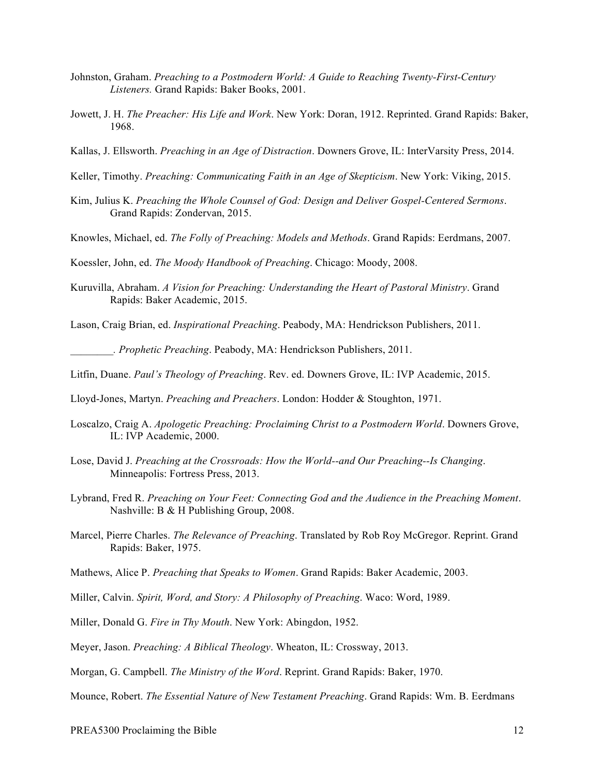- Johnston, Graham. *Preaching to a Postmodern World: A Guide to Reaching Twenty-First-Century Listeners.* Grand Rapids: Baker Books, 2001.
- Jowett, J. H. *The Preacher: His Life and Work*. New York: Doran, 1912. Reprinted. Grand Rapids: Baker, 1968.
- Kallas, J. Ellsworth. *Preaching in an Age of Distraction*. Downers Grove, IL: InterVarsity Press, 2014.
- Keller, Timothy. *Preaching: Communicating Faith in an Age of Skepticism*. New York: Viking, 2015.
- Kim, Julius K. *Preaching the Whole Counsel of God: Design and Deliver Gospel-Centered Sermons*. Grand Rapids: Zondervan, 2015.
- Knowles, Michael, ed. *The Folly of Preaching: Models and Methods*. Grand Rapids: Eerdmans, 2007.

Koessler, John, ed. *The Moody Handbook of Preaching*. Chicago: Moody, 2008.

Kuruvilla, Abraham. *A Vision for Preaching: Understanding the Heart of Pastoral Ministry*. Grand Rapids: Baker Academic, 2015.

Lason, Craig Brian, ed. *Inspirational Preaching*. Peabody, MA: Hendrickson Publishers, 2011.

*\_\_\_\_\_\_\_\_. Prophetic Preaching*. Peabody, MA: Hendrickson Publishers, 2011.

Litfin, Duane. *Paul's Theology of Preaching*. Rev. ed. Downers Grove, IL: IVP Academic, 2015.

Lloyd-Jones, Martyn. *Preaching and Preachers*. London: Hodder & Stoughton, 1971.

- Loscalzo, Craig A. *Apologetic Preaching: Proclaiming Christ to a Postmodern World*. Downers Grove, IL: IVP Academic, 2000.
- Lose, David J. *Preaching at the Crossroads: How the World--and Our Preaching--Is Changing*. Minneapolis: Fortress Press, 2013.
- Lybrand, Fred R. *Preaching on Your Feet: Connecting God and the Audience in the Preaching Moment*. Nashville: B & H Publishing Group, 2008.
- Marcel, Pierre Charles. *The Relevance of Preaching*. Translated by Rob Roy McGregor. Reprint. Grand Rapids: Baker, 1975.
- Mathews, Alice P. *Preaching that Speaks to Women*. Grand Rapids: Baker Academic, 2003.
- Miller, Calvin. *Spirit, Word, and Story: A Philosophy of Preaching*. Waco: Word, 1989.
- Miller, Donald G. *Fire in Thy Mouth*. New York: Abingdon, 1952.
- Meyer, Jason. *Preaching: A Biblical Theology*. Wheaton, IL: Crossway, 2013.
- Morgan, G. Campbell. *The Ministry of the Word*. Reprint. Grand Rapids: Baker, 1970.

Mounce, Robert. *The Essential Nature of New Testament Preaching*. Grand Rapids: Wm. B. Eerdmans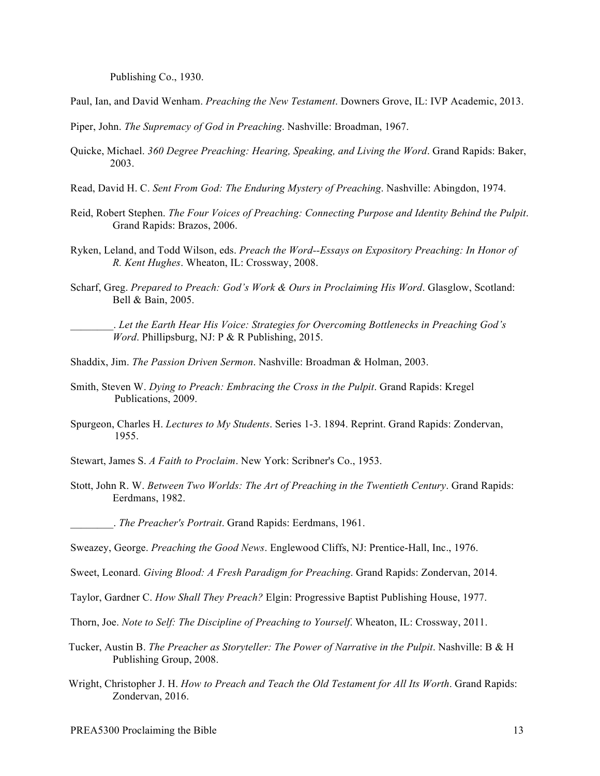Publishing Co., 1930.

Paul, Ian, and David Wenham. *Preaching the New Testament*. Downers Grove, IL: IVP Academic, 2013.

Piper, John. *The Supremacy of God in Preaching*. Nashville: Broadman, 1967.

- Quicke, Michael. *360 Degree Preaching: Hearing, Speaking, and Living the Word*. Grand Rapids: Baker, 2003.
- Read, David H. C. *Sent From God: The Enduring Mystery of Preaching*. Nashville: Abingdon, 1974.
- Reid, Robert Stephen. *The Four Voices of Preaching: Connecting Purpose and Identity Behind the Pulpit*. Grand Rapids: Brazos, 2006.
- Ryken, Leland, and Todd Wilson, eds. *Preach the Word--Essays on Expository Preaching: In Honor of R. Kent Hughes*. Wheaton, IL: Crossway, 2008.
- Scharf, Greg. *Prepared to Preach: God's Work & Ours in Proclaiming His Word*. Glasglow, Scotland: Bell & Bain, 2005.

\_\_\_\_\_\_\_\_. *Let the Earth Hear His Voice: Strategies for Overcoming Bottlenecks in Preaching God's Word*. Phillipsburg, NJ: P & R Publishing, 2015.

- Shaddix, Jim. *The Passion Driven Sermon*. Nashville: Broadman & Holman, 2003.
- Smith, Steven W. *Dying to Preach: Embracing the Cross in the Pulpit*. Grand Rapids: Kregel Publications, 2009.
- Spurgeon, Charles H. *Lectures to My Students*. Series 1-3. 1894. Reprint. Grand Rapids: Zondervan, 1955.
- Stewart, James S. *A Faith to Proclaim*. New York: Scribner's Co., 1953.
- Stott, John R. W. *Between Two Worlds: The Art of Preaching in the Twentieth Century*. Grand Rapids: Eerdmans, 1982.

\_\_\_\_\_\_\_\_. *The Preacher's Portrait*. Grand Rapids: Eerdmans, 1961.

Sweazey, George. *Preaching the Good News*. Englewood Cliffs, NJ: Prentice-Hall, Inc., 1976.

Sweet, Leonard. *Giving Blood: A Fresh Paradigm for Preaching*. Grand Rapids: Zondervan, 2014.

- Taylor, Gardner C. *How Shall They Preach?* Elgin: Progressive Baptist Publishing House, 1977.
- Thorn, Joe. *Note to Self: The Discipline of Preaching to Yourself*. Wheaton, IL: Crossway, 2011.
- Tucker, Austin B. *The Preacher as Storyteller: The Power of Narrative in the Pulpit*. Nashville: B & H Publishing Group, 2008.
- Wright, Christopher J. H. *How to Preach and Teach the Old Testament for All Its Worth*. Grand Rapids: Zondervan, 2016.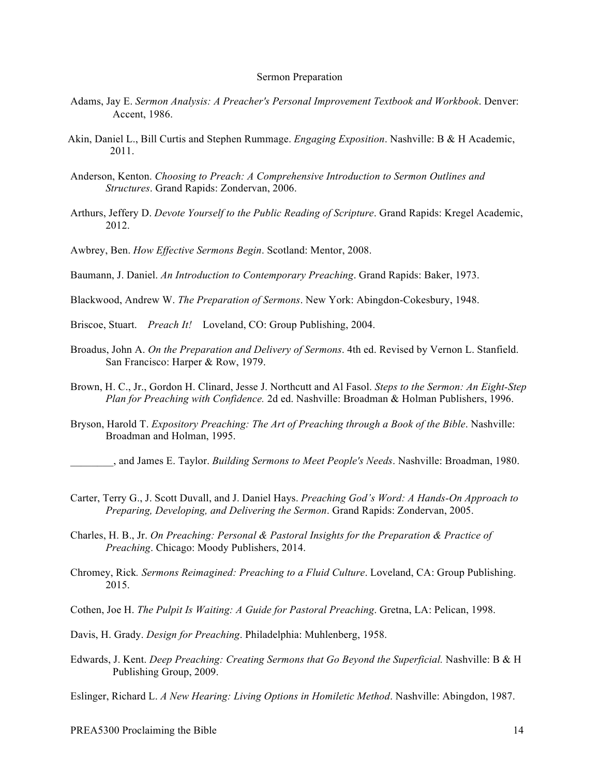#### Sermon Preparation

- Adams, Jay E. *Sermon Analysis: A Preacher's Personal Improvement Textbook and Workbook*. Denver: Accent, 1986.
- Akin, Daniel L., Bill Curtis and Stephen Rummage. *Engaging Exposition*. Nashville: B & H Academic, 2011.
- Anderson, Kenton. *Choosing to Preach: A Comprehensive Introduction to Sermon Outlines and Structures*. Grand Rapids: Zondervan, 2006.
- Arthurs, Jeffery D. *Devote Yourself to the Public Reading of Scripture*. Grand Rapids: Kregel Academic, 2012.
- Awbrey, Ben. *How Effective Sermons Begin*. Scotland: Mentor, 2008.

Baumann, J. Daniel. *An Introduction to Contemporary Preaching*. Grand Rapids: Baker, 1973.

- Blackwood, Andrew W. *The Preparation of Sermons*. New York: Abingdon-Cokesbury, 1948.
- Briscoe, Stuart. *Preach It!* Loveland, CO: Group Publishing, 2004.
- Broadus, John A. *On the Preparation and Delivery of Sermons*. 4th ed. Revised by Vernon L. Stanfield. San Francisco: Harper & Row, 1979.
- Brown, H. C., Jr., Gordon H. Clinard, Jesse J. Northcutt and Al Fasol. *Steps to the Sermon: An Eight-Step Plan for Preaching with Confidence.* 2d ed. Nashville: Broadman & Holman Publishers, 1996.
- Bryson, Harold T. *Expository Preaching: The Art of Preaching through a Book of the Bible*. Nashville: Broadman and Holman, 1995.
	- *\_\_\_\_\_\_\_\_*, and James E. Taylor. *Building Sermons to Meet People's Needs*. Nashville: Broadman, 1980.
- Carter, Terry G., J. Scott Duvall, and J. Daniel Hays. *Preaching God's Word: A Hands-On Approach to Preparing, Developing, and Delivering the Sermon*. Grand Rapids: Zondervan, 2005.
- Charles, H. B., Jr. *On Preaching: Personal & Pastoral Insights for the Preparation & Practice of Preaching*. Chicago: Moody Publishers, 2014.
- Chromey, Rick*. Sermons Reimagined: Preaching to a Fluid Culture*. Loveland, CA: Group Publishing. 2015.
- Cothen, Joe H. *The Pulpit Is Waiting: A Guide for Pastoral Preaching*. Gretna, LA: Pelican, 1998.
- Davis, H. Grady. *Design for Preaching*. Philadelphia: Muhlenberg, 1958.
- Edwards, J. Kent. *Deep Preaching: Creating Sermons that Go Beyond the Superficial.* Nashville: B & H Publishing Group, 2009.

Eslinger, Richard L. *A New Hearing: Living Options in Homiletic Method*. Nashville: Abingdon, 1987.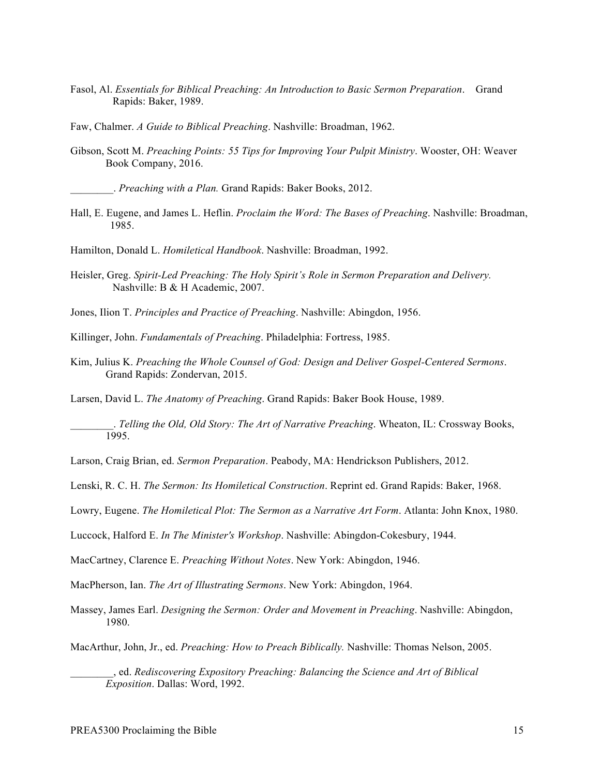- Fasol, Al. *Essentials for Biblical Preaching: An Introduction to Basic Sermon Preparation*. Grand Rapids: Baker, 1989.
- Faw, Chalmer. *A Guide to Biblical Preaching*. Nashville: Broadman, 1962.
- Gibson, Scott M. *Preaching Points: 55 Tips for Improving Your Pulpit Ministry*. Wooster, OH: Weaver Book Company, 2016.

\_\_\_\_\_\_\_\_. *Preaching with a Plan.* Grand Rapids: Baker Books, 2012.

Hall, E. Eugene, and James L. Heflin. *Proclaim the Word: The Bases of Preaching*. Nashville: Broadman, 1985.

Hamilton, Donald L. *Homiletical Handbook*. Nashville: Broadman, 1992.

Heisler, Greg. *Spirit-Led Preaching: The Holy Spirit's Role in Sermon Preparation and Delivery.*  Nashville: B & H Academic, 2007.

Jones, Ilion T. *Principles and Practice of Preaching*. Nashville: Abingdon, 1956.

Killinger, John. *Fundamentals of Preaching*. Philadelphia: Fortress, 1985.

Kim, Julius K. *Preaching the Whole Counsel of God: Design and Deliver Gospel-Centered Sermons*. Grand Rapids: Zondervan, 2015.

Larsen, David L. *The Anatomy of Preaching*. Grand Rapids: Baker Book House, 1989.

\_\_\_\_\_\_\_\_. *Telling the Old, Old Story: The Art of Narrative Preaching*. Wheaton, IL: Crossway Books, 1995.

Larson, Craig Brian, ed. *Sermon Preparation*. Peabody, MA: Hendrickson Publishers, 2012.

Lenski, R. C. H. *The Sermon: Its Homiletical Construction*. Reprint ed. Grand Rapids: Baker, 1968.

Lowry, Eugene. *The Homiletical Plot: The Sermon as a Narrative Art Form*. Atlanta: John Knox, 1980.

Luccock, Halford E. *In The Minister's Workshop*. Nashville: Abingdon-Cokesbury, 1944.

MacCartney, Clarence E. *Preaching Without Notes*. New York: Abingdon, 1946.

MacPherson, Ian. *The Art of Illustrating Sermons*. New York: Abingdon, 1964.

Massey, James Earl. *Designing the Sermon: Order and Movement in Preaching*. Nashville: Abingdon, 1980.

MacArthur, John, Jr., ed. *Preaching: How to Preach Biblically.* Nashville: Thomas Nelson, 2005.

\_\_\_\_\_\_\_\_, ed. *Rediscovering Expository Preaching: Balancing the Science and Art of Biblical Exposition*. Dallas: Word, 1992.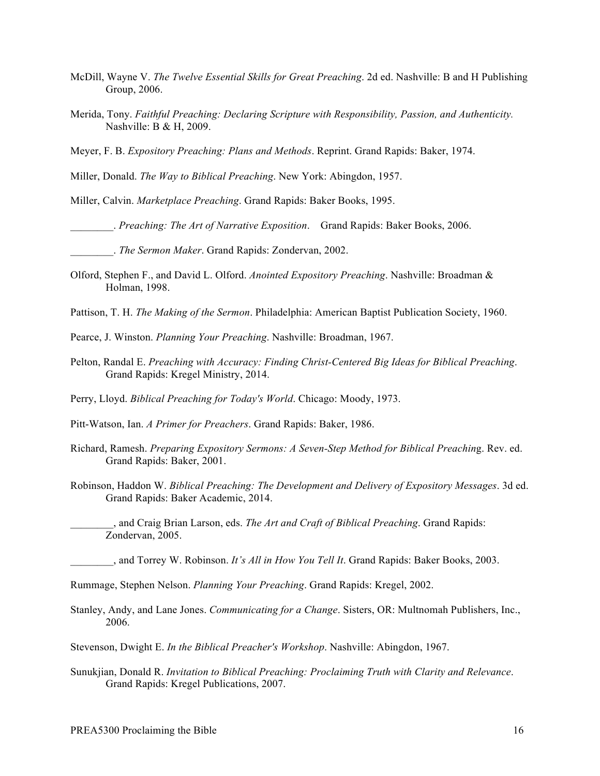- McDill, Wayne V. *The Twelve Essential Skills for Great Preaching*. 2d ed. Nashville: B and H Publishing Group, 2006.
- Merida, Tony. *Faithful Preaching: Declaring Scripture with Responsibility, Passion, and Authenticity.*  Nashville: B & H, 2009.

Meyer, F. B. *Expository Preaching: Plans and Methods*. Reprint. Grand Rapids: Baker, 1974.

Miller, Donald. *The Way to Biblical Preaching*. New York: Abingdon, 1957.

Miller, Calvin. *Marketplace Preaching*. Grand Rapids: Baker Books, 1995.

\_\_\_\_\_\_\_\_. *Preaching: The Art of Narrative Exposition*. Grand Rapids: Baker Books, 2006.

\_\_\_\_\_\_\_\_. *The Sermon Maker*. Grand Rapids: Zondervan, 2002.

Olford, Stephen F., and David L. Olford. *Anointed Expository Preaching*. Nashville: Broadman & Holman, 1998.

Pattison, T. H. *The Making of the Sermon*. Philadelphia: American Baptist Publication Society, 1960.

Pearce, J. Winston. *Planning Your Preaching*. Nashville: Broadman, 1967.

Pelton, Randal E. *Preaching with Accuracy: Finding Christ-Centered Big Ideas for Biblical Preaching*. Grand Rapids: Kregel Ministry, 2014.

Perry, Lloyd. *Biblical Preaching for Today's World*. Chicago: Moody, 1973.

Pitt-Watson, Ian. *A Primer for Preachers*. Grand Rapids: Baker, 1986.

- Richard, Ramesh. *Preparing Expository Sermons: A Seven-Step Method for Biblical Preachin*g. Rev. ed. Grand Rapids: Baker, 2001.
- Robinson, Haddon W. *Biblical Preaching: The Development and Delivery of Expository Messages*. 3d ed. Grand Rapids: Baker Academic, 2014.

\_\_\_\_\_\_\_\_, and Craig Brian Larson, eds. *The Art and Craft of Biblical Preaching*. Grand Rapids: Zondervan, 2005.

\_\_\_\_\_\_\_\_, and Torrey W. Robinson. *It's All in How You Tell It*. Grand Rapids: Baker Books, 2003.

Rummage, Stephen Nelson. *Planning Your Preaching*. Grand Rapids: Kregel, 2002.

Stanley, Andy, and Lane Jones. *Communicating for a Change*. Sisters, OR: Multnomah Publishers, Inc., 2006.

Stevenson, Dwight E. *In the Biblical Preacher's Workshop*. Nashville: Abingdon, 1967.

Sunukjian, Donald R. *Invitation to Biblical Preaching: Proclaiming Truth with Clarity and Relevance*. Grand Rapids: Kregel Publications, 2007.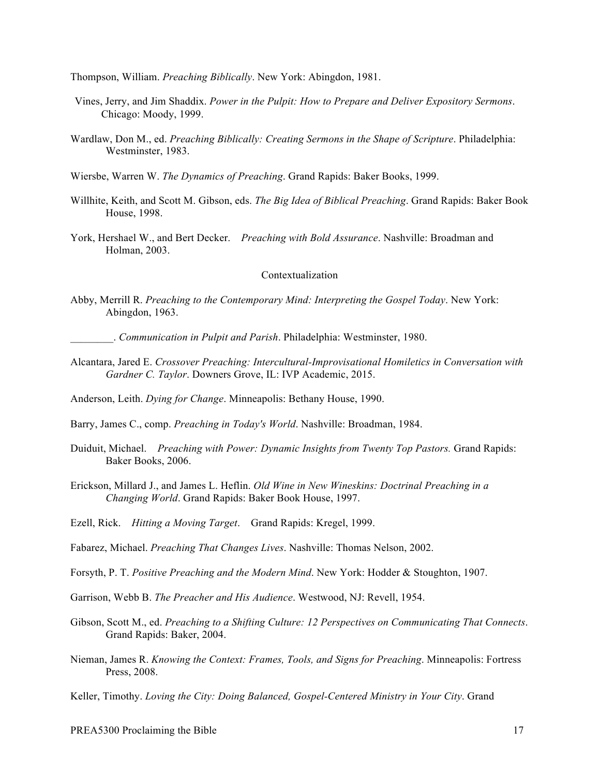Thompson, William. *Preaching Biblically*. New York: Abingdon, 1981.

- Vines, Jerry, and Jim Shaddix. *Power in the Pulpit: How to Prepare and Deliver Expository Sermons*. Chicago: Moody, 1999.
- Wardlaw, Don M., ed. *Preaching Biblically: Creating Sermons in the Shape of Scripture*. Philadelphia: Westminster, 1983.
- Wiersbe, Warren W. *The Dynamics of Preaching*. Grand Rapids: Baker Books, 1999.
- Willhite, Keith, and Scott M. Gibson, eds. *The Big Idea of Biblical Preaching*. Grand Rapids: Baker Book House, 1998.
- York, Hershael W., and Bert Decker. *Preaching with Bold Assurance*. Nashville: Broadman and Holman, 2003.

### Contextualization

Abby, Merrill R. *Preaching to the Contemporary Mind: Interpreting the Gospel Today*. New York: Abingdon, 1963.

\_\_\_\_\_\_\_\_. *Communication in Pulpit and Parish*. Philadelphia: Westminster, 1980.

Alcantara, Jared E. *Crossover Preaching: Intercultural-Improvisational Homiletics in Conversation with Gardner C. Taylor*. Downers Grove, IL: IVP Academic, 2015.

Anderson, Leith. *Dying for Change*. Minneapolis: Bethany House, 1990.

Barry, James C., comp. *Preaching in Today's World*. Nashville: Broadman, 1984.

- Duiduit, Michael. *Preaching with Power: Dynamic Insights from Twenty Top Pastors.* Grand Rapids: Baker Books, 2006.
- Erickson, Millard J., and James L. Heflin. *Old Wine in New Wineskins: Doctrinal Preaching in a Changing World*. Grand Rapids: Baker Book House, 1997.
- Ezell, Rick. *Hitting a Moving Target*. Grand Rapids: Kregel, 1999.

Fabarez, Michael. *Preaching That Changes Lives*. Nashville: Thomas Nelson, 2002.

- Forsyth, P. T. *Positive Preaching and the Modern Mind*. New York: Hodder & Stoughton, 1907.
- Garrison, Webb B. *The Preacher and His Audience*. Westwood, NJ: Revell, 1954.
- Gibson, Scott M., ed. *Preaching to a Shifting Culture: 12 Perspectives on Communicating That Connects*. Grand Rapids: Baker, 2004.
- Nieman, James R. *Knowing the Context: Frames, Tools, and Signs for Preaching*. Minneapolis: Fortress Press, 2008.
- Keller, Timothy. *Loving the City: Doing Balanced, Gospel-Centered Ministry in Your City*. Grand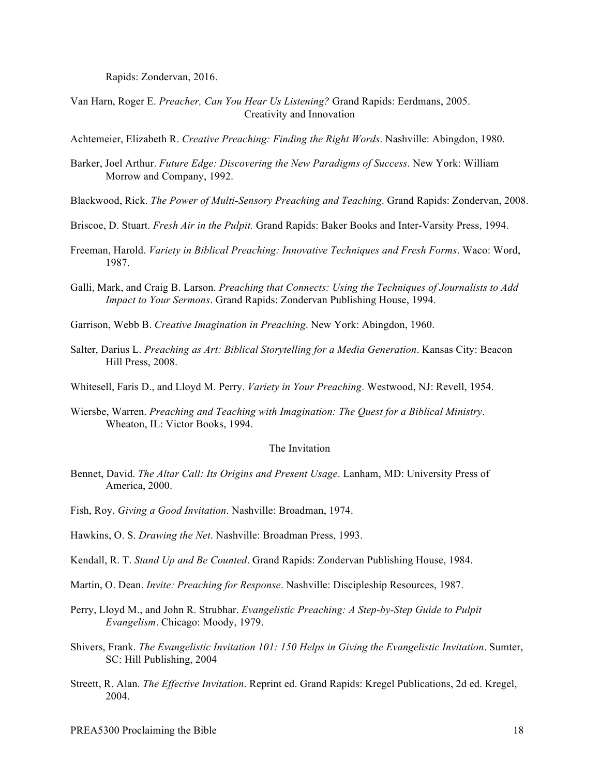Rapids: Zondervan, 2016.

Van Harn, Roger E. *Preacher, Can You Hear Us Listening?* Grand Rapids: Eerdmans, 2005. Creativity and Innovation

Achtemeier, Elizabeth R. *Creative Preaching: Finding the Right Words*. Nashville: Abingdon, 1980.

- Barker, Joel Arthur. *Future Edge: Discovering the New Paradigms of Success*. New York: William Morrow and Company, 1992.
- Blackwood, Rick. *The Power of Multi-Sensory Preaching and Teaching*. Grand Rapids: Zondervan, 2008.
- Briscoe, D. Stuart. *Fresh Air in the Pulpit.* Grand Rapids: Baker Books and Inter-Varsity Press, 1994.
- Freeman, Harold. *Variety in Biblical Preaching: Innovative Techniques and Fresh Forms*. Waco: Word, 1987.
- Galli, Mark, and Craig B. Larson. *Preaching that Connects: Using the Techniques of Journalists to Add Impact to Your Sermons*. Grand Rapids: Zondervan Publishing House, 1994.
- Garrison, Webb B. *Creative Imagination in Preaching*. New York: Abingdon, 1960.
- Salter, Darius L. *Preaching as Art: Biblical Storytelling for a Media Generation*. Kansas City: Beacon Hill Press, 2008.
- Whitesell, Faris D., and Lloyd M. Perry. *Variety in Your Preaching*. Westwood, NJ: Revell, 1954.
- Wiersbe, Warren. *Preaching and Teaching with Imagination: The Quest for a Biblical Ministry*. Wheaton, IL: Victor Books, 1994.

#### The Invitation

- Bennet, David. *The Altar Call: Its Origins and Present Usage*. Lanham, MD: University Press of America, 2000.
- Fish, Roy. *Giving a Good Invitation*. Nashville: Broadman, 1974.
- Hawkins, O. S. *Drawing the Net*. Nashville: Broadman Press, 1993.
- Kendall, R. T. *Stand Up and Be Counted*. Grand Rapids: Zondervan Publishing House, 1984.
- Martin, O. Dean. *Invite: Preaching for Response*. Nashville: Discipleship Resources, 1987.
- Perry, Lloyd M., and John R. Strubhar. *Evangelistic Preaching: A Step-by-Step Guide to Pulpit Evangelism*. Chicago: Moody, 1979.
- Shivers, Frank. *The Evangelistic Invitation 101: 150 Helps in Giving the Evangelistic Invitation*. Sumter, SC: Hill Publishing, 2004
- Streett, R. Alan. *The Effective Invitation*. Reprint ed. Grand Rapids: Kregel Publications, 2d ed. Kregel, 2004.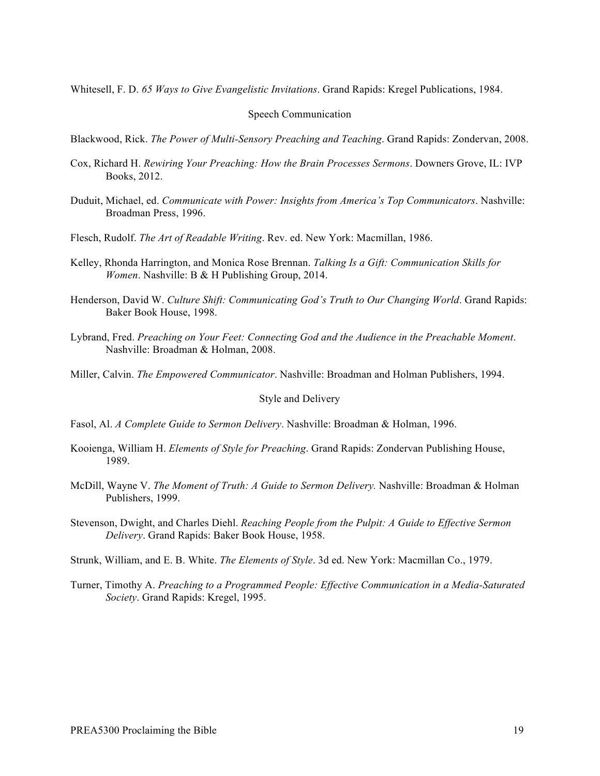Whitesell, F. D. *65 Ways to Give Evangelistic Invitations*. Grand Rapids: Kregel Publications, 1984.

#### Speech Communication

Blackwood, Rick. *The Power of Multi-Sensory Preaching and Teaching*. Grand Rapids: Zondervan, 2008.

- Cox, Richard H. *Rewiring Your Preaching: How the Brain Processes Sermons*. Downers Grove, IL: IVP Books, 2012.
- Duduit, Michael, ed. *Communicate with Power: Insights from America's Top Communicators*. Nashville: Broadman Press, 1996.
- Flesch, Rudolf. *The Art of Readable Writing*. Rev. ed. New York: Macmillan, 1986.
- Kelley, Rhonda Harrington, and Monica Rose Brennan. *Talking Is a Gift: Communication Skills for Women*. Nashville: B & H Publishing Group, 2014.
- Henderson, David W. *Culture Shift: Communicating God's Truth to Our Changing World*. Grand Rapids: Baker Book House, 1998.
- Lybrand, Fred. *Preaching on Your Feet: Connecting God and the Audience in the Preachable Moment*. Nashville: Broadman & Holman, 2008.

Miller, Calvin. *The Empowered Communicator*. Nashville: Broadman and Holman Publishers, 1994.

### Style and Delivery

- Fasol, Al. *A Complete Guide to Sermon Delivery*. Nashville: Broadman & Holman, 1996.
- Kooienga, William H. *Elements of Style for Preaching*. Grand Rapids: Zondervan Publishing House, 1989.
- McDill, Wayne V. *The Moment of Truth: A Guide to Sermon Delivery.* Nashville: Broadman & Holman Publishers, 1999.
- Stevenson, Dwight, and Charles Diehl. *Reaching People from the Pulpit: A Guide to Effective Sermon Delivery*. Grand Rapids: Baker Book House, 1958.
- Strunk, William, and E. B. White. *The Elements of Style*. 3d ed. New York: Macmillan Co., 1979.
- Turner, Timothy A. *Preaching to a Programmed People: Effective Communication in a Media-Saturated Society*. Grand Rapids: Kregel, 1995.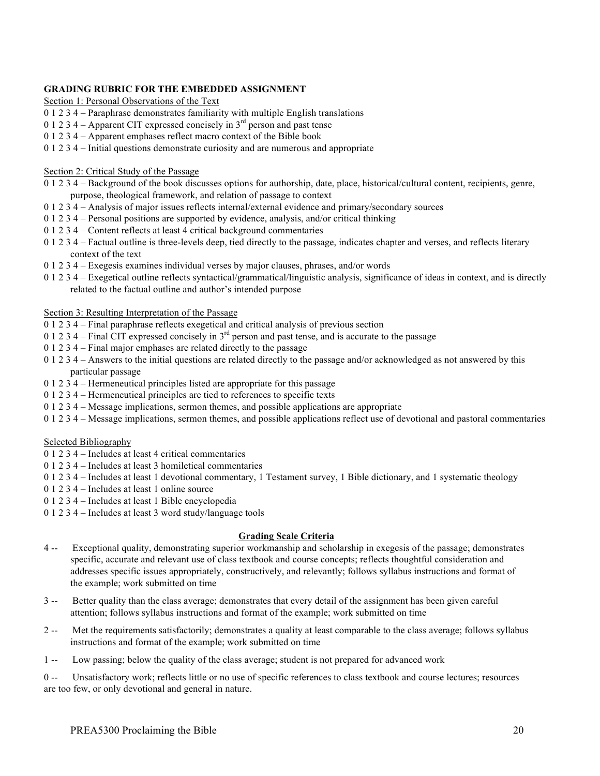### **GRADING RUBRIC FOR THE EMBEDDED ASSIGNMENT**

Section 1: Personal Observations of the Text

- 0 1 2 3 4 Paraphrase demonstrates familiarity with multiple English translations
- 0 1 2 3 4 Apparent CIT expressed concisely in  $3<sup>rd</sup>$  person and past tense
- 0 1 2 3 4 Apparent emphases reflect macro context of the Bible book
- 0 1 2 3 4 Initial questions demonstrate curiosity and are numerous and appropriate

### Section 2: Critical Study of the Passage

- 0 1 2 3 4 Background of the book discusses options for authorship, date, place, historical/cultural content, recipients, genre, purpose, theological framework, and relation of passage to context
- 0 1 2 3 4 Analysis of major issues reflects internal/external evidence and primary/secondary sources
- 0 1 2 3 4 Personal positions are supported by evidence, analysis, and/or critical thinking
- 0 1 2 3 4 Content reflects at least 4 critical background commentaries
- 0 1 2 3 4 Factual outline is three-levels deep, tied directly to the passage, indicates chapter and verses, and reflects literary context of the text
- 0 1 2 3 4 Exegesis examines individual verses by major clauses, phrases, and/or words
- 0 1 2 3 4 Exegetical outline reflects syntactical/grammatical/linguistic analysis, significance of ideas in context, and is directly related to the factual outline and author's intended purpose

### Section 3: Resulting Interpretation of the Passage

- 0 1 2 3 4 Final paraphrase reflects exegetical and critical analysis of previous section
- 0 1 2 3 4 Final CIT expressed concisely in  $3<sup>rd</sup>$  person and past tense, and is accurate to the passage
- 0 1 2 3 4 Final major emphases are related directly to the passage
- 0 1 2 3 4 Answers to the initial questions are related directly to the passage and/or acknowledged as not answered by this particular passage
- 0 1 2 3 4 Hermeneutical principles listed are appropriate for this passage
- 0 1 2 3 4 Hermeneutical principles are tied to references to specific texts
- 0 1 2 3 4 Message implications, sermon themes, and possible applications are appropriate
- 0 1 2 3 4 Message implications, sermon themes, and possible applications reflect use of devotional and pastoral commentaries

### Selected Bibliography

- 0 1 2 3 4 Includes at least 4 critical commentaries
- 0 1 2 3 4 Includes at least 3 homiletical commentaries
- 0 1 2 3 4 Includes at least 1 devotional commentary, 1 Testament survey, 1 Bible dictionary, and 1 systematic theology
- 0 1 2 3 4 Includes at least 1 online source
- 0 1 2 3 4 Includes at least 1 Bible encyclopedia
- 0 1 2 3 4 Includes at least 3 word study/language tools

## **Grading Scale Criteria**

- 4 -- Exceptional quality, demonstrating superior workmanship and scholarship in exegesis of the passage; demonstrates specific, accurate and relevant use of class textbook and course concepts; reflects thoughtful consideration and addresses specific issues appropriately, constructively, and relevantly; follows syllabus instructions and format of the example; work submitted on time
- 3 -- Better quality than the class average; demonstrates that every detail of the assignment has been given careful attention; follows syllabus instructions and format of the example; work submitted on time
- 2 -- Met the requirements satisfactorily; demonstrates a quality at least comparable to the class average; follows syllabus instructions and format of the example; work submitted on time
- 1 -- Low passing; below the quality of the class average; student is not prepared for advanced work

0 -- Unsatisfactory work; reflects little or no use of specific references to class textbook and course lectures; resources are too few, or only devotional and general in nature.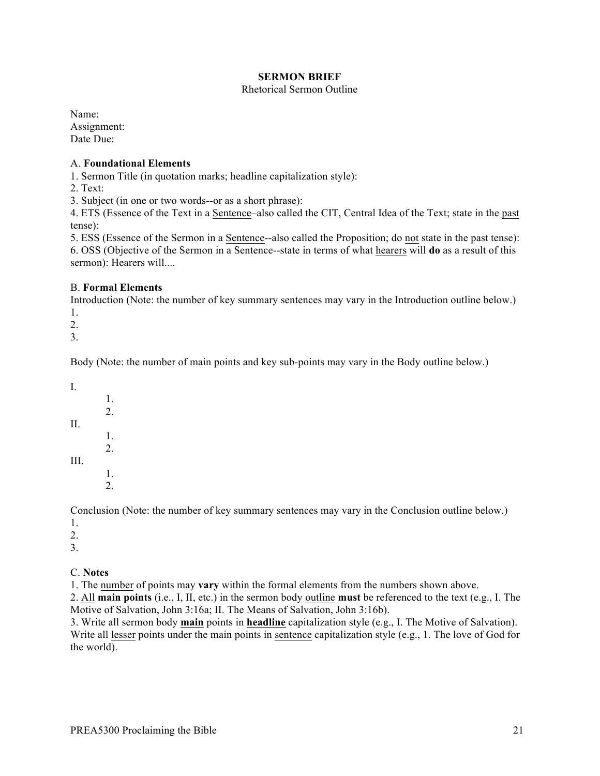## **SERMON BRIEF**

## Rhetorical Sermon Outline

Name: Assignment: Date Due:

## A. **Foundational Elements**

1. Sermon Title (in quotation marks; headline capitalization style):

2. Text:

3. Subject (in one or two words--or as a short phrase):

4. ETS (Essence of the Text in a Sentence–also called the CIT, Central Idea of the Text; state in the past tense):

5. ESS (Essence of the Sermon in a Sentence--also called the Proposition; do not state in the past tense): 6. OSS (Objective of the Sermon in a Sentence--state in terms of what hearers will **do** as a result of this sermon): Hearers will....

## B. **Formal Elements**

Introduction (Note: the number of key summary sentences may vary in the Introduction outline below.) 1.

2.

3.

Body (Note: the number of main points and key sub-points may vary in the Body outline below.)

I. 1. 2. II. 1. 2. III. 1. 2.

Conclusion (Note: the number of key summary sentences may vary in the Conclusion outline below.) 1.

2.

3.

## C. **Notes**

1. The number of points may **vary** within the formal elements from the numbers shown above.

2. All **main points** (i.e., I, II, etc.) in the sermon body outline **must** be referenced to the text (e.g., I. The Motive of Salvation, John 3:16a; II. The Means of Salvation, John 3:16b).

3. Write all sermon body **main** points in **headline** capitalization style (e.g., I. The Motive of Salvation). Write all lesser points under the main points in sentence capitalization style (e.g., 1. The love of God for the world).